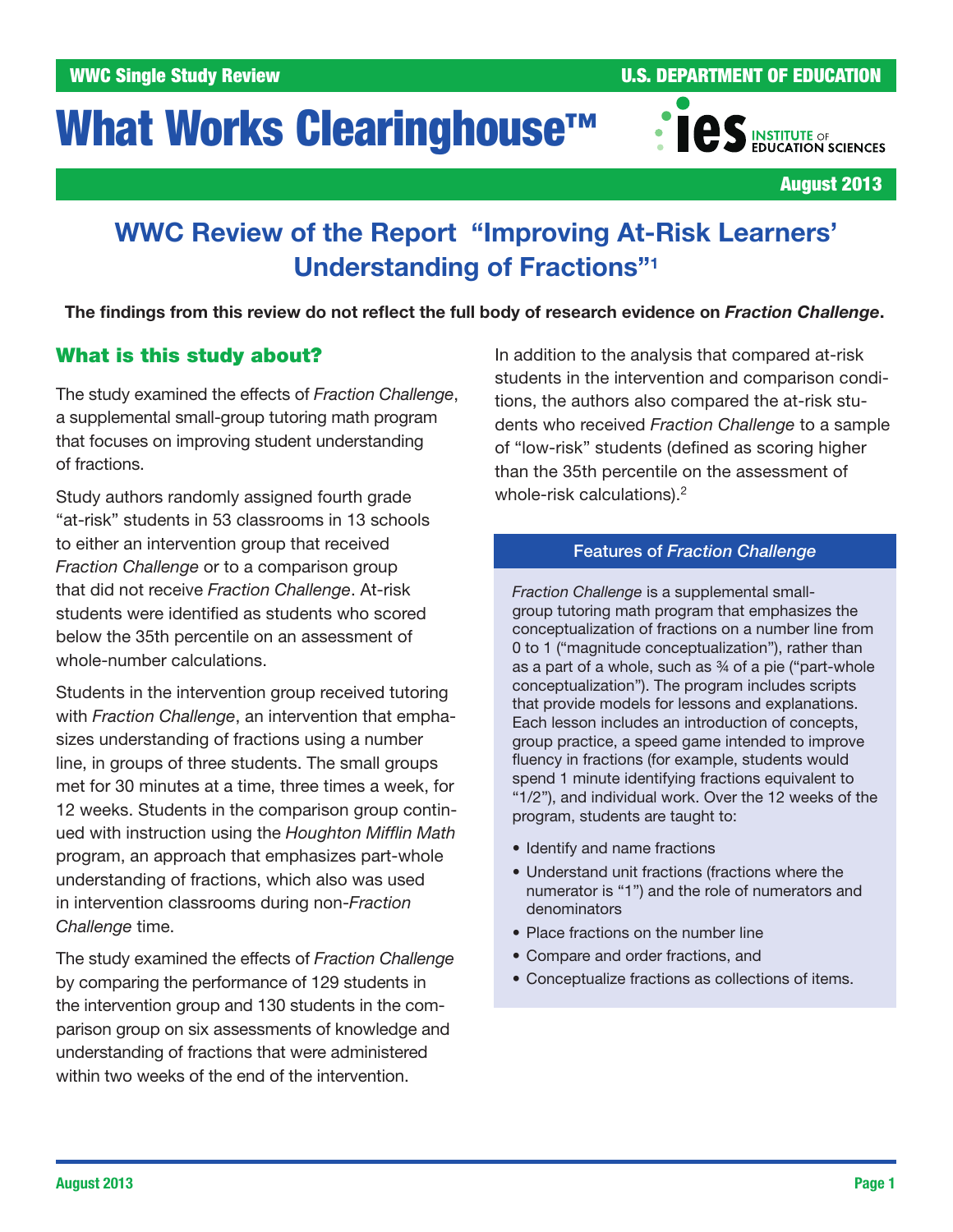# What Works Clearinghouse<sup>™</sup>



August 2013

## WWC Review of the Report "Improving At-Risk Learners' Understanding of Fractions"1

The findings from this review do not reflect the full body of research evidence on *Fraction Challenge*.

## What is this study about?

The study examined the effects of *Fraction Challenge*, a supplemental small-group tutoring math program that focuses on improving student understanding of fractions.

Study authors randomly assigned fourth grade "at-risk" students in 53 classrooms in 13 schools to either an intervention group that received *Fraction Challenge* or to a comparison group that did not receive *Fraction Challenge*. At-risk students were identified as students who scored below the 35th percentile on an assessment of whole-number calculations.

Students in the intervention group received tutoring with *Fraction Challenge*, an intervention that emphasizes understanding of fractions using a number line, in groups of three students. The small groups met for 30 minutes at a time, three times a week, for 12 weeks. Students in the comparison group continued with instruction using the *Houghton Mifflin Math* program, an approach that emphasizes part-whole understanding of fractions, which also was used in intervention classrooms during non-*Fraction Challenge* time.

The study examined the effects of *Fraction Challenge* by comparing the performance of 129 students in the intervention group and 130 students in the comparison group on six assessments of knowledge and understanding of fractions that were administered within two weeks of the end of the intervention.

In addition to the analysis that compared at-risk students in the intervention and comparison conditions, the authors also compared the at-risk students who received *Fraction Challenge* to a sample of "low-risk" students (defined as scoring higher than the 35th percentile on the assessment of whole-risk calculations).<sup>2</sup>

#### Features of *Fraction Challenge*

*Fraction Challenge* is a supplemental smallgroup tutoring math program that emphasizes the conceptualization of fractions on a number line from 0 to 1 ("magnitude conceptualization"), rather than as a part of a whole, such as ¾ of a pie ("part-whole conceptualization"). The program includes scripts that provide models for lessons and explanations. Each lesson includes an introduction of concepts, group practice, a speed game intended to improve fluency in fractions (for example, students would spend 1 minute identifying fractions equivalent to "1/2"), and individual work. Over the 12 weeks of the program, students are taught to:

- Identify and name fractions
- Understand unit fractions (fractions where the numerator is "1") and the role of numerators and denominators
- Place fractions on the number line
- Compare and order fractions, and
- Conceptualize fractions as collections of items.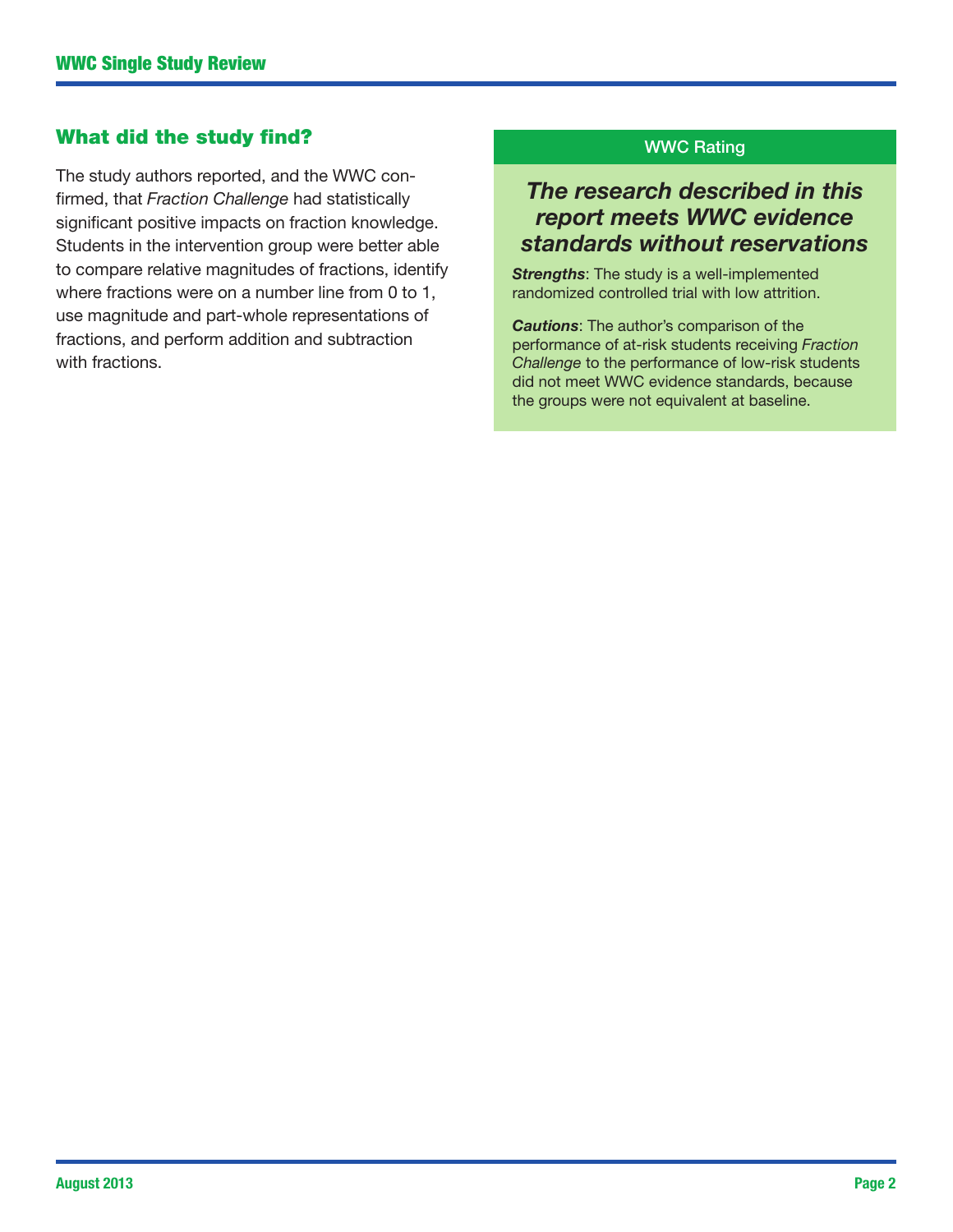## What did the study find?

The study authors reported, and the WWC confirmed, that *Fraction Challenge* had statistically significant positive impacts on fraction knowledge. Students in the intervention group were better able to compare relative magnitudes of fractions, identify where fractions were on a number line from 0 to 1, use magnitude and part-whole representations of fractions, and perform addition and subtraction with fractions.

#### WWC Rating

## *The research described in this report meets WWC evidence standards without reservations*

*Strengths*: The study is a well-implemented randomized controlled trial with low attrition.

*Cautions*: The author's comparison of the performance of at-risk students receiving *Fraction Challenge* to the performance of low-risk students did not meet WWC evidence standards, because the groups were not equivalent at baseline.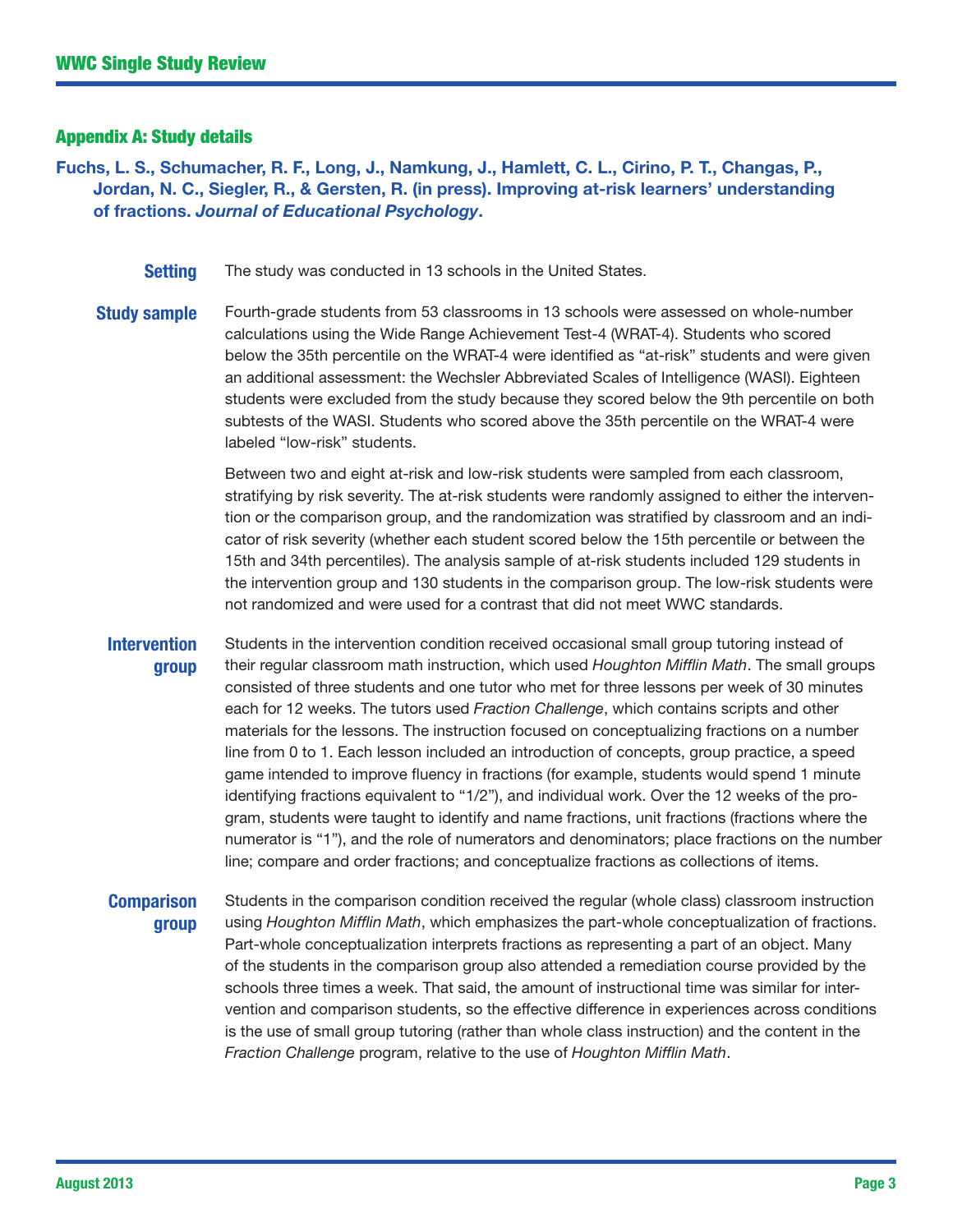#### Appendix A: Study details

Fuchs, L. S., Schumacher, R. F., Long, J., Namkung, J., Hamlett, C. L., Cirino, P. T., Changas, P., Jordan, N. C., Siegler, R., & Gersten, R. (in press). Improving at-risk learners' understanding of fractions. *Journal of Educational Psychology*.

**Setting** The study was conducted in 13 schools in the United States.

**Study sample** Fourth-grade students from 53 classrooms in 13 schools were assessed on whole-number calculations using the Wide Range Achievement Test-4 (WRAT-4). Students who scored below the 35th percentile on the WRAT-4 were identified as "at-risk" students and were given an additional assessment: the Wechsler Abbreviated Scales of Intelligence (WASI). Eighteen students were excluded from the study because they scored below the 9th percentile on both subtests of the WASI. Students who scored above the 35th percentile on the WRAT-4 were labeled "low-risk" students.

> Between two and eight at-risk and low-risk students were sampled from each classroom, stratifying by risk severity. The at-risk students were randomly assigned to either the intervention or the comparison group, and the randomization was stratified by classroom and an indicator of risk severity (whether each student scored below the 15th percentile or between the 15th and 34th percentiles). The analysis sample of at-risk students included 129 students in the intervention group and 130 students in the comparison group. The low-risk students were not randomized and were used for a contrast that did not meet WWC standards.

#### **Intervention** group

Students in the intervention condition received occasional small group tutoring instead of their regular classroom math instruction, which used *Houghton Mifflin Math*. The small groups consisted of three students and one tutor who met for three lessons per week of 30 minutes each for 12 weeks. The tutors used *Fraction Challenge*, which contains scripts and other materials for the lessons. The instruction focused on conceptualizing fractions on a number line from 0 to 1. Each lesson included an introduction of concepts, group practice, a speed game intended to improve fluency in fractions (for example, students would spend 1 minute identifying fractions equivalent to "1/2"), and individual work. Over the 12 weeks of the program, students were taught to identify and name fractions, unit fractions (fractions where the numerator is "1"), and the role of numerators and denominators; place fractions on the number line; compare and order fractions; and conceptualize fractions as collections of items.

## **Comparison** group

Students in the comparison condition received the regular (whole class) classroom instruction using *Houghton Mifflin Math*, which emphasizes the part-whole conceptualization of fractions. Part-whole conceptualization interprets fractions as representing a part of an object. Many of the students in the comparison group also attended a remediation course provided by the schools three times a week. That said, the amount of instructional time was similar for intervention and comparison students, so the effective difference in experiences across conditions is the use of small group tutoring (rather than whole class instruction) and the content in the *Fraction Challenge* program, relative to the use of *Houghton Mifflin Math*.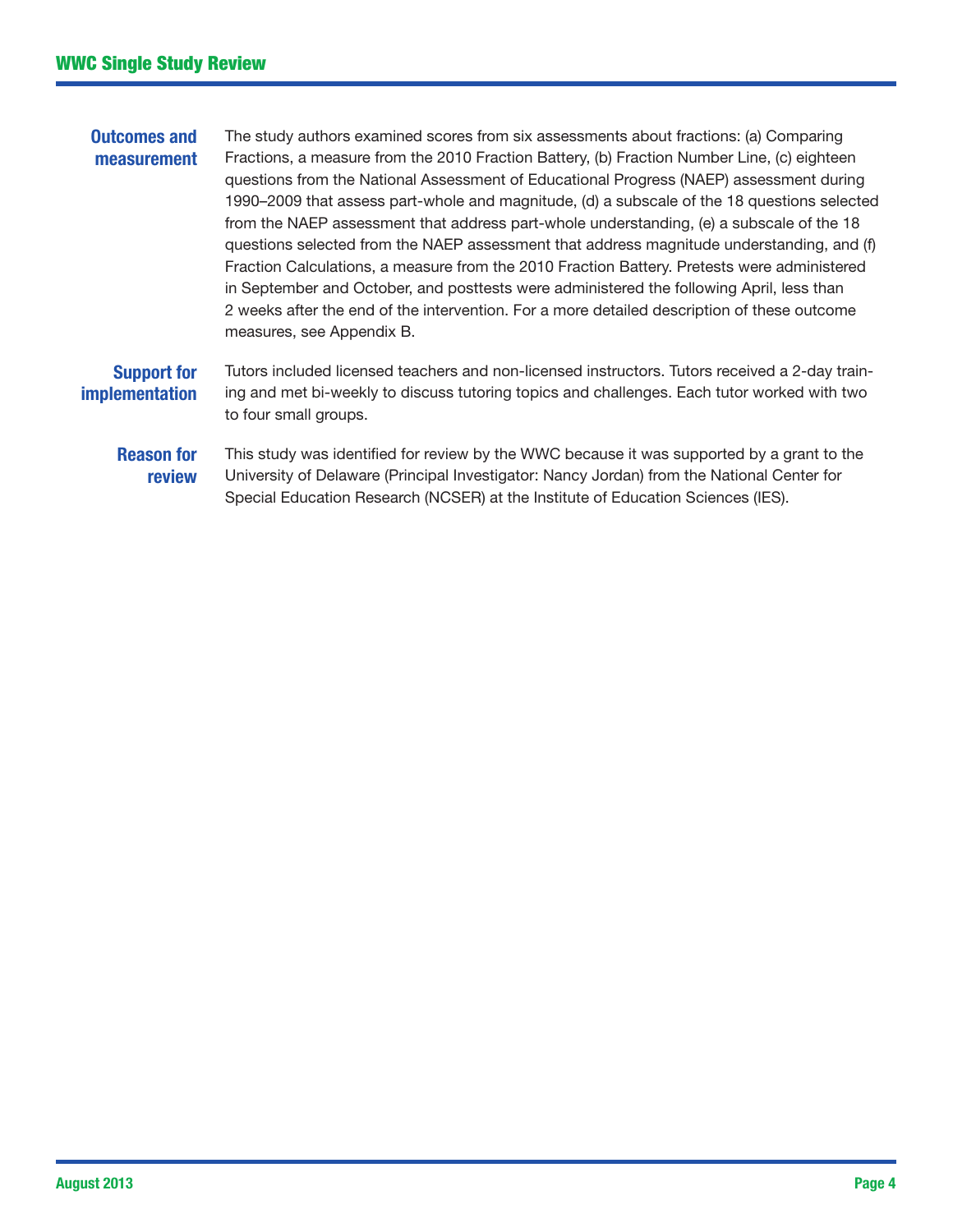#### Outcomes and measurement The study authors examined scores from six assessments about fractions: (a) Comparing Fractions, a measure from the 2010 Fraction Battery, (b) Fraction Number Line, (c) eighteen questions from the National Assessment of Educational Progress (NAEP) assessment during 1990–2009 that assess part-whole and magnitude, (d) a subscale of the 18 questions selected from the NAEP assessment that address part-whole understanding, (e) a subscale of the 18 questions selected from the NAEP assessment that address magnitude understanding, and (f) Fraction Calculations, a measure from the 2010 Fraction Battery. Pretests were administered in September and October, and posttests were administered the following April, less than 2 weeks after the end of the intervention. For a more detailed description of these outcome measures, see Appendix B. Support for implementation Tutors included licensed teachers and non-licensed instructors. Tutors received a 2-day training and met bi-weekly to discuss tutoring topics and challenges. Each tutor worked with two to four small groups. Reason for review This study was identified for review by the WWC because it was supported by a grant to the University of Delaware (Principal Investigator: Nancy Jordan) from the National Center for Special Education Research (NCSER) at the Institute of Education Sciences (IES).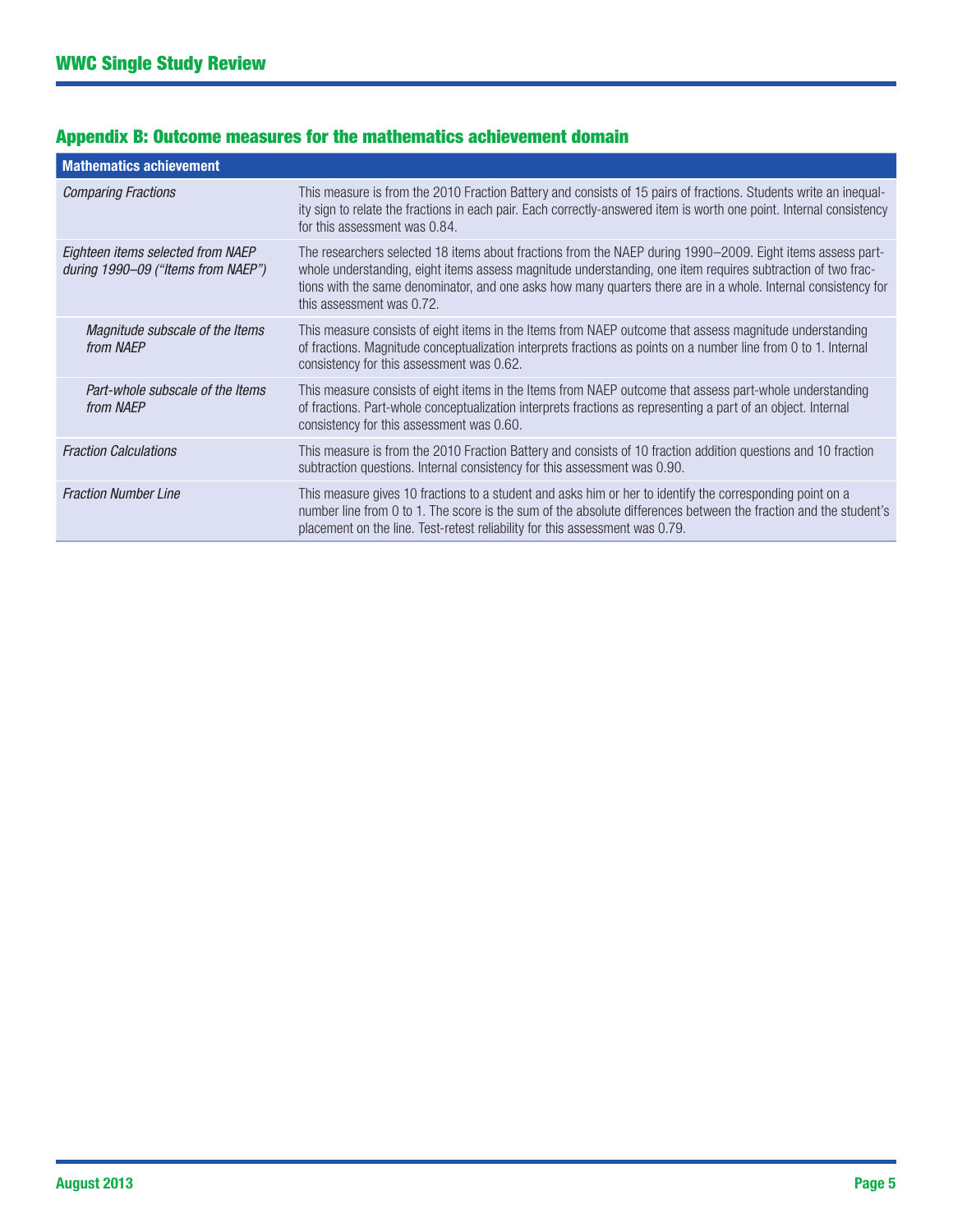| <b>Mathematics achievement</b>                                          |                                                                                                                                                                                                                                                                                                                                                                          |
|-------------------------------------------------------------------------|--------------------------------------------------------------------------------------------------------------------------------------------------------------------------------------------------------------------------------------------------------------------------------------------------------------------------------------------------------------------------|
| <b>Comparing Fractions</b>                                              | This measure is from the 2010 Fraction Battery and consists of 15 pairs of fractions. Students write an inequal-<br>ity sign to relate the fractions in each pair. Each correctly-answered item is worth one point. Internal consistency<br>for this assessment was 0.84.                                                                                                |
| Eighteen items selected from NAEP<br>during 1990–09 ("Items from NAEP") | The researchers selected 18 items about fractions from the NAEP during 1990–2009. Eight items assess part-<br>whole understanding, eight items assess magnitude understanding, one item requires subtraction of two frac-<br>tions with the same denominator, and one asks how many quarters there are in a whole. Internal consistency for<br>this assessment was 0.72. |
| Magnitude subscale of the Items<br>from NAEP                            | This measure consists of eight items in the Items from NAEP outcome that assess magnitude understanding<br>of fractions. Magnitude conceptualization interprets fractions as points on a number line from 0 to 1. Internal<br>consistency for this assessment was 0.62.                                                                                                  |
| Part-whole subscale of the Items<br>from NAEP                           | This measure consists of eight items in the Items from NAEP outcome that assess part-whole understanding<br>of fractions. Part-whole conceptualization interprets fractions as representing a part of an object. Internal<br>consistency for this assessment was 0.60.                                                                                                   |
| <b>Fraction Calculations</b>                                            | This measure is from the 2010 Fraction Battery and consists of 10 fraction addition questions and 10 fraction<br>subtraction questions. Internal consistency for this assessment was 0.90.                                                                                                                                                                               |
| <b>Fraction Number Line</b>                                             | This measure gives 10 fractions to a student and asks him or her to identify the corresponding point on a<br>number line from 0 to 1. The score is the sum of the absolute differences between the fraction and the student's<br>placement on the line. Test-retest reliability for this assessment was 0.79.                                                            |

## Appendix B: Outcome measures for the mathematics achievement domain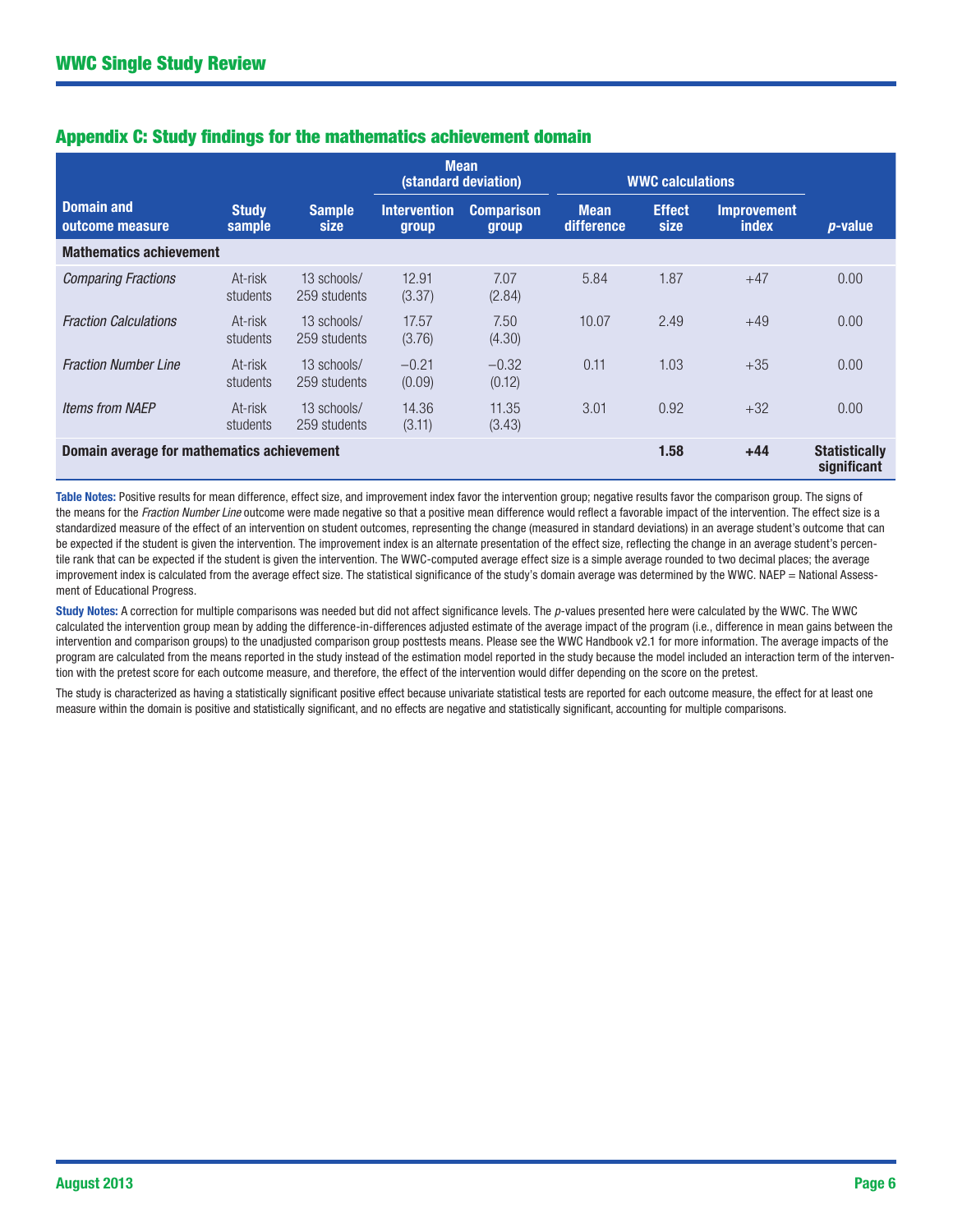|                                                             |                        |                              | <b>Mean</b><br>(standard deviation) |                            | <b>WWC calculations</b>   |                                     |                                    |            |
|-------------------------------------------------------------|------------------------|------------------------------|-------------------------------------|----------------------------|---------------------------|-------------------------------------|------------------------------------|------------|
| <b>Domain and</b><br>outcome measure                        | <b>Study</b><br>sample | <b>Sample</b><br><b>size</b> | <b>Intervention</b><br>group        | <b>Comparison</b><br>group | <b>Mean</b><br>difference | <b>Effect</b><br><b>size</b>        | <b>Improvement</b><br><i>index</i> | $p$ -value |
| <b>Mathematics achievement</b>                              |                        |                              |                                     |                            |                           |                                     |                                    |            |
| <b>Comparing Fractions</b>                                  | At-risk<br>students    | 13 schools/<br>259 students  | 12.91<br>(3.37)                     | 7.07<br>(2.84)             | 5.84                      | 1.87                                | $+47$                              | 0.00       |
| <b>Fraction Calculations</b>                                | At-risk<br>students    | 13 schools/<br>259 students  | 17.57<br>(3.76)                     | 7.50<br>(4.30)             | 10.07                     | 2.49                                | $+49$                              | 0.00       |
| <b>Fraction Number Line</b>                                 | At-risk<br>students    | 13 schools/<br>259 students  | $-0.21$<br>(0.09)                   | $-0.32$<br>(0.12)          | 0.11                      | 1.03                                | $+35$                              | 0.00       |
| <b>Items from NAEP</b>                                      | At-risk<br>students    | 13 schools/<br>259 students  | 14.36<br>(3.11)                     | 11.35<br>(3.43)            | 3.01                      | 0.92                                | $+32$                              | 0.00       |
| Domain average for mathematics achievement<br>1.58<br>$+44$ |                        |                              |                                     |                            |                           | <b>Statistically</b><br>significant |                                    |            |

#### Appendix C: Study findings for the mathematics achievement domain

Table Notes: Positive results for mean difference, effect size, and improvement index favor the intervention group; negative results favor the comparison group. The signs of the means for the *Fraction Number Line* outcome were made negative so that a positive mean difference would reflect a favorable impact of the intervention. The effect size is a standardized measure of the effect of an intervention on student outcomes, representing the change (measured in standard deviations) in an average student's outcome that can be expected if the student is given the intervention. The improvement index is an alternate presentation of the effect size, reflecting the change in an average student's percentile rank that can be expected if the student is given the intervention. The WWC-computed average effect size is a simple average rounded to two decimal places; the average improvement index is calculated from the average effect size. The statistical significance of the study's domain average was determined by the WWC. NAEP = National Assessment of Educational Progress.

Study Notes: A correction for multiple comparisons was needed but did not affect significance levels. The *p*-values presented here were calculated by the WWC. The WWC calculated the intervention group mean by adding the difference-in-differences adjusted estimate of the average impact of the program (i.e., difference in mean gains between the intervention and comparison groups) to the unadjusted comparison group posttests means. Please see the WWC Handbook v2.1 for more information. The average impacts of the program are calculated from the means reported in the study instead of the estimation model reported in the study because the model included an interaction term of the intervention with the pretest score for each outcome measure, and therefore, the effect of the intervention would differ depending on the score on the pretest.

The study is characterized as having a statistically significant positive effect because univariate statistical tests are reported for each outcome measure, the effect for at least one measure within the domain is positive and statistically significant, and no effects are negative and statistically significant, accounting for multiple comparisons.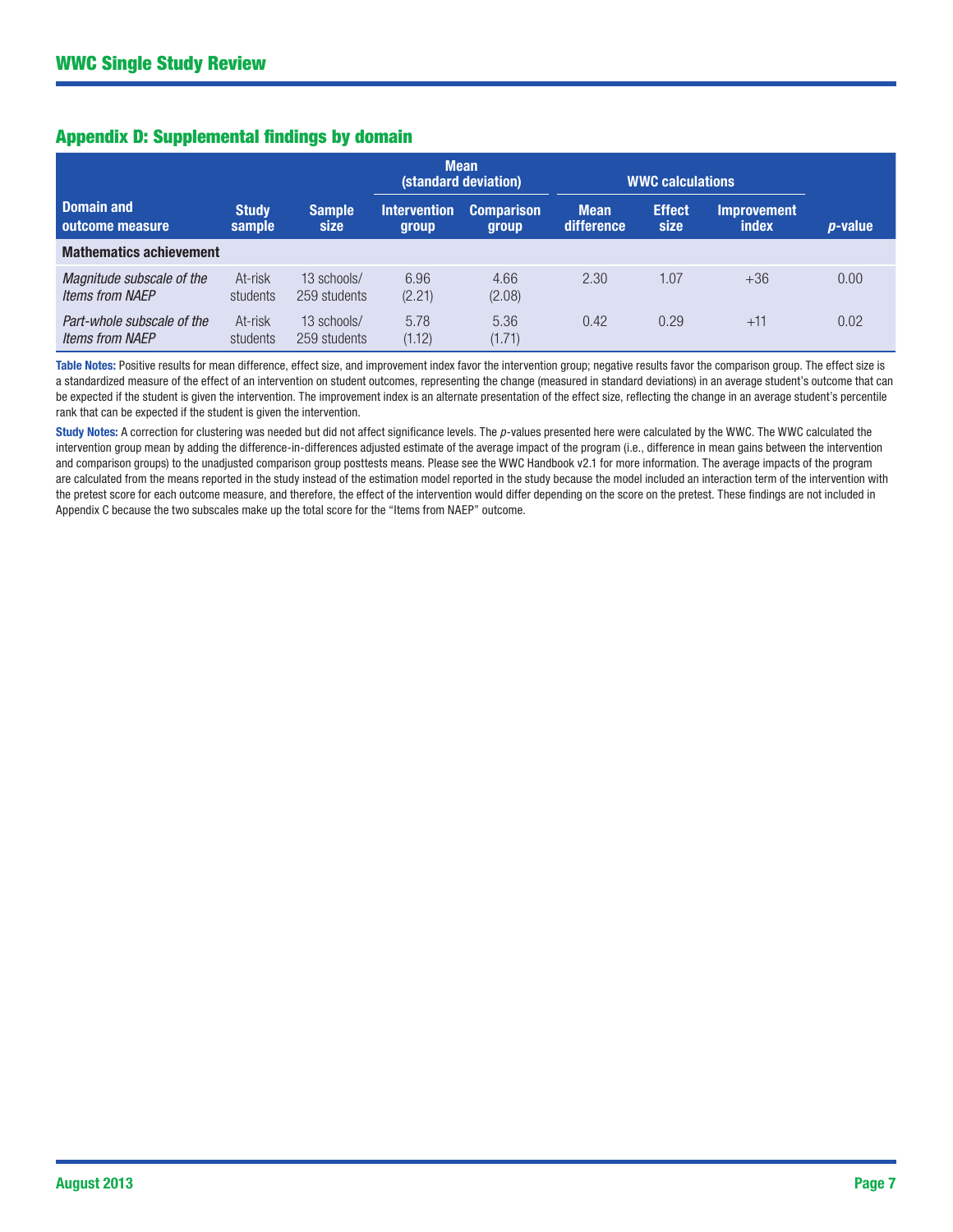|  |  | <b>Appendix D: Supplemental findings by domain</b> |  |  |
|--|--|----------------------------------------------------|--|--|
|  |  |                                                    |  |  |

|                                                      |                        |                             | <b>Mean</b><br>(standard deviation) | <b>WWC calculations</b>           |                           |                       |                             |                 |
|------------------------------------------------------|------------------------|-----------------------------|-------------------------------------|-----------------------------------|---------------------------|-----------------------|-----------------------------|-----------------|
| <b>Domain and</b><br>outcome measure                 | <b>Study</b><br>sample | <b>Sample</b><br>size       | <b>Intervention</b><br>group        | <b>Comparison</b><br><b>group</b> | <b>Mean</b><br>difference | <b>Effect</b><br>size | <b>Improvement</b><br>index | <i>p</i> -value |
| <b>Mathematics achievement</b>                       |                        |                             |                                     |                                   |                           |                       |                             |                 |
| Magnitude subscale of the<br><b>Items from NAEP</b>  | At-risk<br>students    | 13 schools/<br>259 students | 6.96<br>(2.21)                      | 4.66<br>(2.08)                    | 2.30                      | 1.07                  | $+36$                       | 0.00            |
| Part-whole subscale of the<br><b>Items from NAEP</b> | At-risk<br>students    | 13 schools/<br>259 students | 5.78<br>(1.12)                      | 5.36<br>(1.71)                    | 0.42                      | 0.29                  | $+11$                       | 0.02            |

Table Notes: Positive results for mean difference, effect size, and improvement index favor the intervention group; negative results favor the comparison group. The effect size is a standardized measure of the effect of an intervention on student outcomes, representing the change (measured in standard deviations) in an average student's outcome that can be expected if the student is given the intervention. The improvement index is an alternate presentation of the effect size, reflecting the change in an average student's percentile rank that can be expected if the student is given the intervention.

Study Notes: A correction for clustering was needed but did not affect significance levels. The *p*-values presented here were calculated by the WWC. The WWC calculated the intervention group mean by adding the difference-in-differences adjusted estimate of the average impact of the program (i.e., difference in mean gains between the intervention and comparison groups) to the unadjusted comparison group posttests means. Please see the WWC Handbook v2.1 for more information. The average impacts of the program are calculated from the means reported in the study instead of the estimation model reported in the study because the model included an interaction term of the intervention with the pretest score for each outcome measure, and therefore, the effect of the intervention would differ depending on the score on the pretest. These findings are not included in Appendix C because the two subscales make up the total score for the "Items from NAEP" outcome.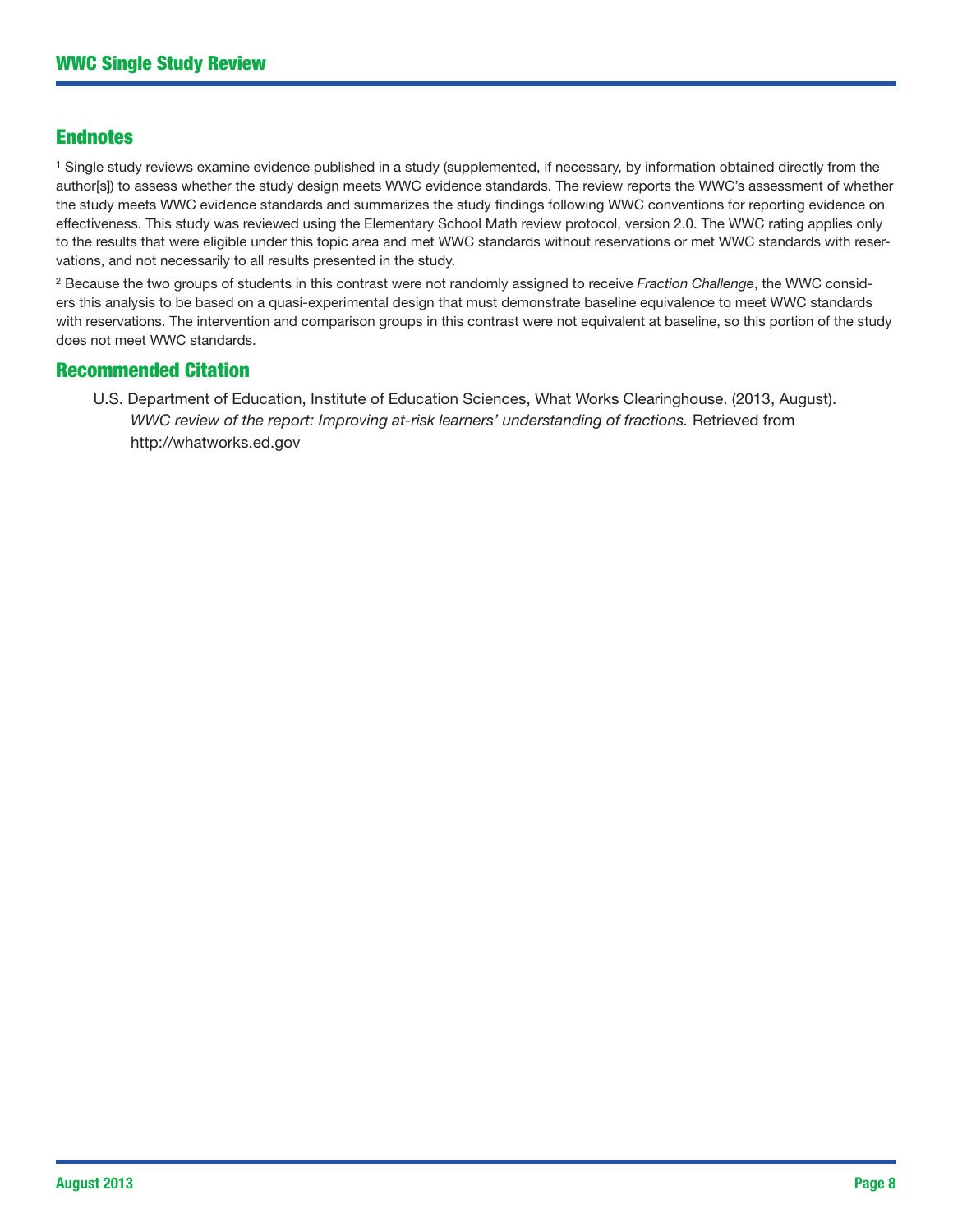#### Endnotes

<sup>1</sup> Single study reviews examine evidence published in a study (supplemented, if necessary, by information obtained directly from the author[s]) to assess whether the study design meets WWC evidence standards. The review reports the WWC's assessment of whether the study meets WWC evidence standards and summarizes the study findings following WWC conventions for reporting evidence on effectiveness. This study was reviewed using the Elementary School Math review protocol, version 2.0. The WWC rating applies only to the results that were eligible under this topic area and met WWC standards without reservations or met WWC standards with reservations, and not necessarily to all results presented in the study.

2 Because the two groups of students in this contrast were not randomly assigned to receive *Fraction Challenge*, the WWC considers this analysis to be based on a quasi-experimental design that must demonstrate baseline equivalence to meet WWC standards with reservations. The intervention and comparison groups in this contrast were not equivalent at baseline, so this portion of the study does not meet WWC standards.

#### Recommended Citation

U.S. Department of Education, Institute of Education Sciences, What Works Clearinghouse. (2013, August). *WWC review of the report: Improving at-risk learners' understanding of fractions.* Retrieved from <http://whatworks.ed.gov>